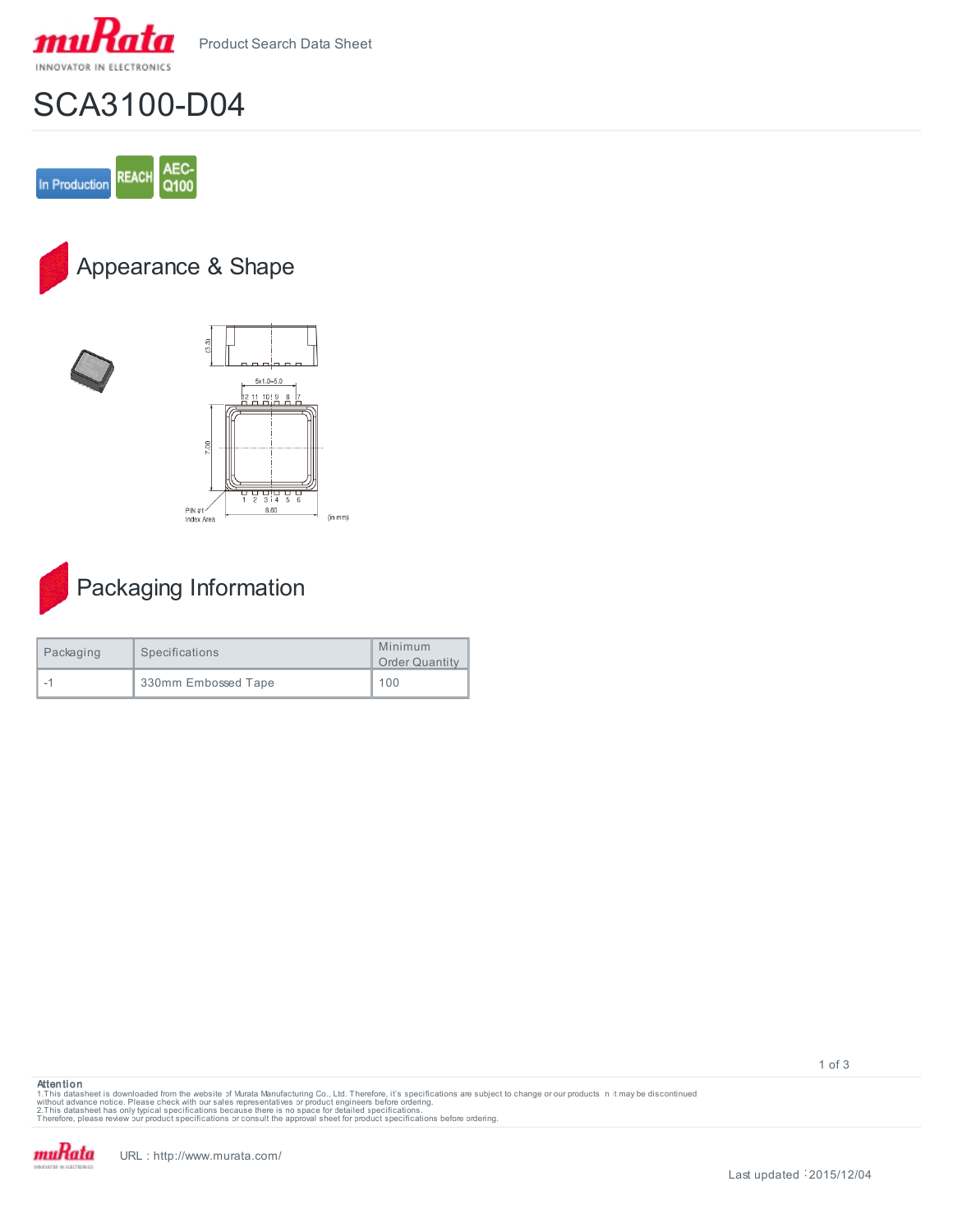

Product Search Data Sheet

## SCA3100-D04









## Packaging Information

| Packaging | Specifications      | Minimum<br><b>Order Quantity</b> |
|-----------|---------------------|----------------------------------|
|           | 330mm Embossed Tape | 100                              |



1.This datasheet is downloaded from the website of Murata Manufacturing Co., Ltd. Therefore, it's specifications are subject to change or our products in it may be discontinued<br>without advaneet has only typical specificati